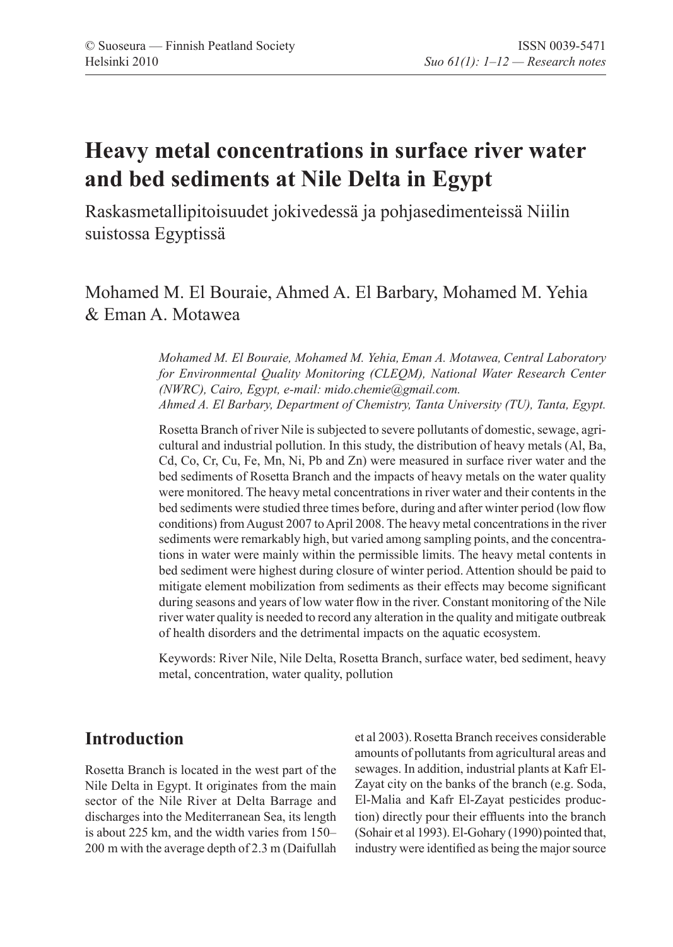# **Heavy metal concentrations in surface river water and bed sediments at Nile Delta in Egypt**

Raskasmetallipitoisuudet jokivedessä ja pohjasedimenteissä Niilin suistossa Egyptissä

# Mohamed M. El Bouraie, Ahmed A. El Barbary, Mohamed M. Yehia & Eman A. Motawea

*Mohamed M. El Bouraie, Mohamed M. Yehia, Eman A. Motawea, Central Laboratory for Environmental Quality Monitoring (CLEQM), National Water Research Center (NWRC), Cairo, Egypt, e-mail: mido.chemie@gmail.com. Ahmed A. El Barbary, Department of Chemistry, Tanta University (TU), Tanta, Egypt.* 

Rosetta Branch of river Nile is subjected to severe pollutants of domestic, sewage, agricultural and industrial pollution. In this study, the distribution of heavy metals (Al, Ba, Cd, Co, Cr, Cu, Fe, Mn, Ni, Pb and Zn) were measured in surface river water and the bed sediments of Rosetta Branch and the impacts of heavy metals on the water quality were monitored. The heavy metal concentrations in river water and their contents in the bed sediments were studied three times before, during and after winter period (low flow conditions) from August 2007 to April 2008. The heavy metal concentrations in the river sediments were remarkably high, but varied among sampling points, and the concentrations in water were mainly within the permissible limits. The heavy metal contents in bed sediment were highest during closure of winter period. Attention should be paid to mitigate element mobilization from sediments as their effects may become significant during seasons and years of low water flow in the river. Constant monitoring of the Nile river water quality is needed to record any alteration in the quality and mitigate outbreak of health disorders and the detrimental impacts on the aquatic ecosystem.

Keywords: River Nile, Nile Delta, Rosetta Branch, surface water, bed sediment, heavy metal, concentration, water quality, pollution

## **Introduction**

Rosetta Branch is located in the west part of the Nile Delta in Egypt. It originates from the main sector of the Nile River at Delta Barrage and discharges into the Mediterranean Sea, its length is about 225 km, and the width varies from 150– 200 m with the average depth of 2.3 m (Daifullah et al 2003).Rosetta Branch receives considerable amounts of pollutants from agricultural areas and sewages. In addition, industrial plants at Kafr El-Zayat city on the banks of the branch (e.g. Soda, El-Malia and Kafr El-Zayat pesticides production) directly pour their effluents into the branch (Sohair et al 1993). El-Gohary (1990) pointed that, industry were identified as being the major source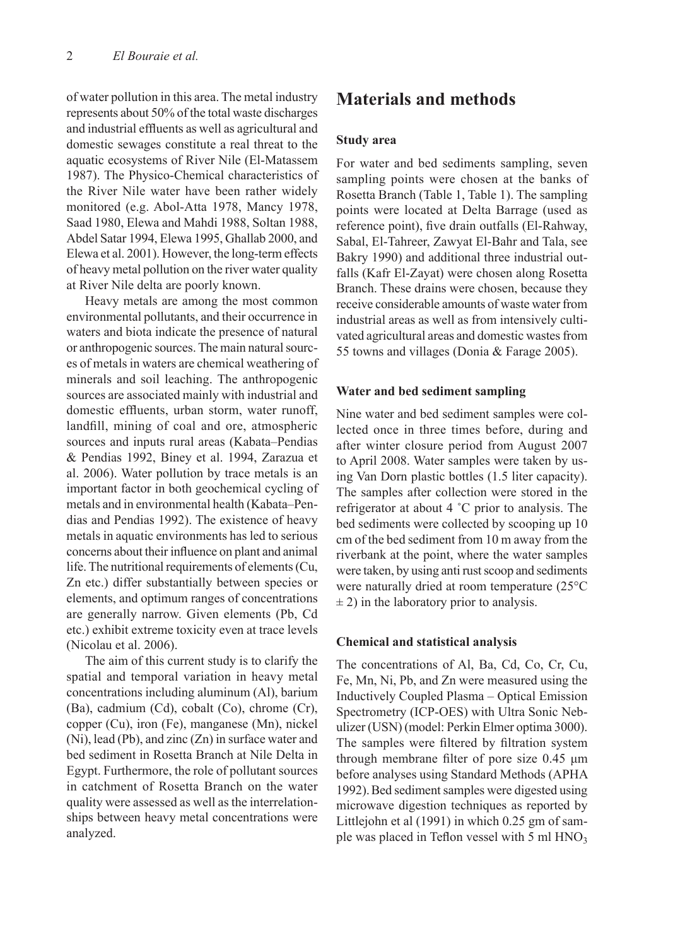of water pollution in this area. The metal industry represents about 50% of the total waste discharges and industrial effluents as well as agricultural and domestic sewages constitute a real threat to the aquatic ecosystems of River Nile (El-Matassem 1987). The Physico-Chemical characteristics of the River Nile water have been rather widely monitored (e.g. Abol-Atta 1978, Mancy 1978, Saad 1980, Elewa and Mahdi 1988, Soltan 1988, Abdel Satar 1994, Elewa 1995, Ghallab 2000, and Elewa et al. 2001). However, the long-term effects of heavy metal pollution on the river water quality at River Nile delta are poorly known.

Heavy metals are among the most common environmental pollutants, and their occurrence in waters and biota indicate the presence of natural or anthropogenic sources. The main natural sources of metals in waters are chemical weathering of minerals and soil leaching. The anthropogenic sources are associated mainly with industrial and domestic effluents, urban storm, water runoff, landfill, mining of coal and ore, atmospheric sources and inputs rural areas (Kabata–Pendias & Pendias 1992, Biney et al. 1994, Zarazua et al. 2006). Water pollution by trace metals is an important factor in both geochemical cycling of metals and in environmental health (Kabata–Pendias and Pendias 1992). The existence of heavy metals in aquatic environments has led to serious concerns about their influence on plant and animal life. The nutritional requirements of elements (Cu, Zn etc.) differ substantially between species or elements, and optimum ranges of concentrations are generally narrow. Given elements (Pb, Cd etc.) exhibit extreme toxicity even at trace levels (Nicolau et al. 2006).

The aim of this current study is to clarify the spatial and temporal variation in heavy metal concentrations including aluminum (Al), barium (Ba), cadmium (Cd), cobalt (Co), chrome (Cr), copper (Cu), iron (Fe), manganese (Mn), nickel (Ni), lead (Pb), and zinc (Zn) in surface water and bed sediment in Rosetta Branch at Nile Delta in Egypt. Furthermore, the role of pollutant sources in catchment of Rosetta Branch on the water quality were assessed as well as the interrelationships between heavy metal concentrations were analyzed.

### **Materials and methods**

#### **Study area**

For water and bed sediments sampling, seven sampling points were chosen at the banks of Rosetta Branch (Table 1, Table 1). The sampling points were located at Delta Barrage (used as reference point), five drain outfalls (El-Rahway, Sabal, El-Tahreer, Zawyat El-Bahr and Tala, see Bakry 1990) and additional three industrial outfalls (Kafr El-Zayat) were chosen along Rosetta Branch. These drains were chosen, because they receive considerable amounts of waste water from industrial areas as well as from intensively cultivated agricultural areas and domestic wastes from 55 towns and villages (Donia & Farage 2005).

#### **Water and bed sediment sampling**

Nine water and bed sediment samples were collected once in three times before, during and after winter closure period from August 2007 to April 2008. Water samples were taken by using Van Dorn plastic bottles (1.5 liter capacity). The samples after collection were stored in the refrigerator at about 4 ˚C prior to analysis. The bed sediments were collected by scooping up 10 cm of the bed sediment from 10 m away from the riverbank at the point, where the water samples were taken, by using anti rust scoop and sediments were naturally dried at room temperature (25°C  $\pm$  2) in the laboratory prior to analysis.

#### **Chemical and statistical analysis**

The concentrations of Al, Ba, Cd, Co, Cr, Cu, Fe, Mn, Ni, Pb, and Zn were measured using the Inductively Coupled Plasma – Optical Emission Spectrometry (ICP-OES) with Ultra Sonic Nebulizer (USN) (model: Perkin Elmer optima 3000). The samples were filtered by filtration system through membrane filter of pore size 0.45 μm before analyses using Standard Methods (APHA 1992).Bed sediment samples were digested using microwave digestion techniques as reported by Littlejohn et al (1991) in which 0.25 gm of sample was placed in Teflon vessel with  $5 \text{ ml HNO}_3$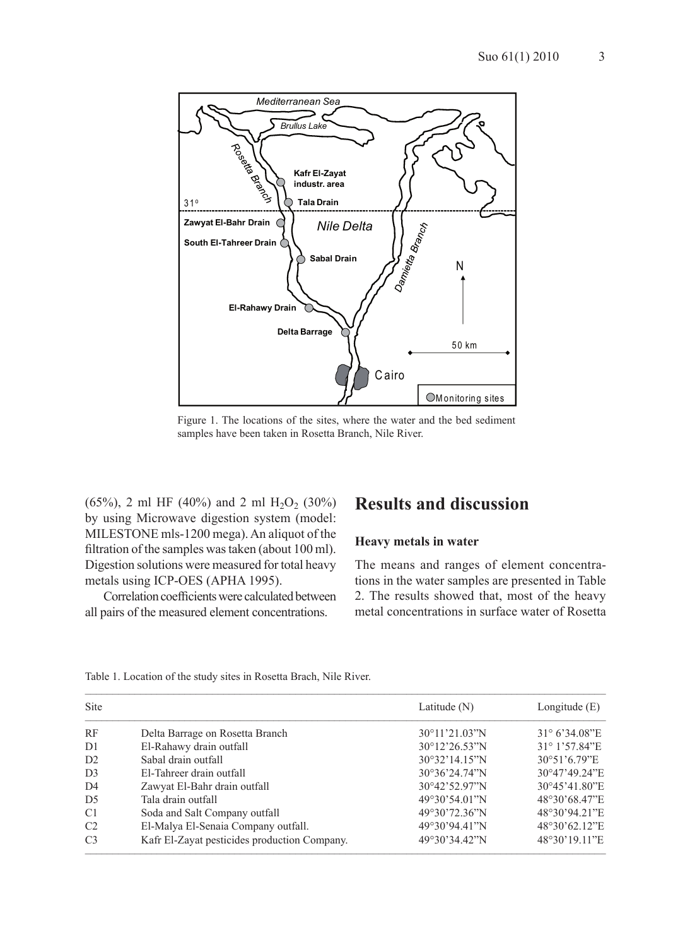3



Figure 1. The locations of the sites, where the water and the bed sediment samples have been taken in Rosetta Branch, Nile River.

 $(65\%)$ , 2 ml HF  $(40\%)$  and 2 ml H<sub>2</sub>O<sub>2</sub>  $(30\%)$ by using Microwave digestion system (model: MILESTONE mls-1200 mega). An aliquot of the filtration of the samples was taken (about 100 ml). Digestion solutions were measured for total heavy metals using ICP-OES (APHA 1995).

Correlation coefficients were calculated between all pairs of the measured element concentrations.

### **Results and discussion**

#### **Heavy metals in water**

The means and ranges of element concentrations in the water samples are presented in Table 2. The results showed that, most of the heavy metal concentrations in surface water of Rosetta

| <b>Site</b>    |                                              | Latitude $(N)$           | Longitude $(E)$        |
|----------------|----------------------------------------------|--------------------------|------------------------|
| RF             | Delta Barrage on Rosetta Branch              | 30°11'21.03"N            | $31^{\circ}$ 6'34.08"E |
| D <sub>1</sub> | El-Rahawy drain outfall                      | $30^{\circ}12'26.53''$ N | 31° 1'57.84"E          |
| D2             | Sabal drain outfall                          | $30^{\circ}32'14.15''$ N | $30^{\circ}51'6.79''E$ |
| D <sub>3</sub> | El-Tahreer drain outfall                     | $30^{\circ}36'24.74''N$  | 30°47'49.24"E          |
| D <sub>4</sub> | Zawyat El-Bahr drain outfall                 | 30°42'52.97"N            | 30°45'41.80"E          |
| D <sub>5</sub> | Tala drain outfall                           | 49°30'54.01''N           | 48°30'68.47"E          |
| C1             | Soda and Salt Company outfall                | 49°30'72.36"N            | 48°30'94.21"E          |
| C <sub>2</sub> | El-Malya El-Senaia Company outfall.          | 49°30'94.41"N            | 48°30'62.12"E          |
| C <sub>3</sub> | Kafr El-Zayat pesticides production Company. | 49°30'34.42''N           | 48°30'19.11"E          |

Table 1. Location of the study sites in Rosetta Brach, Nile River.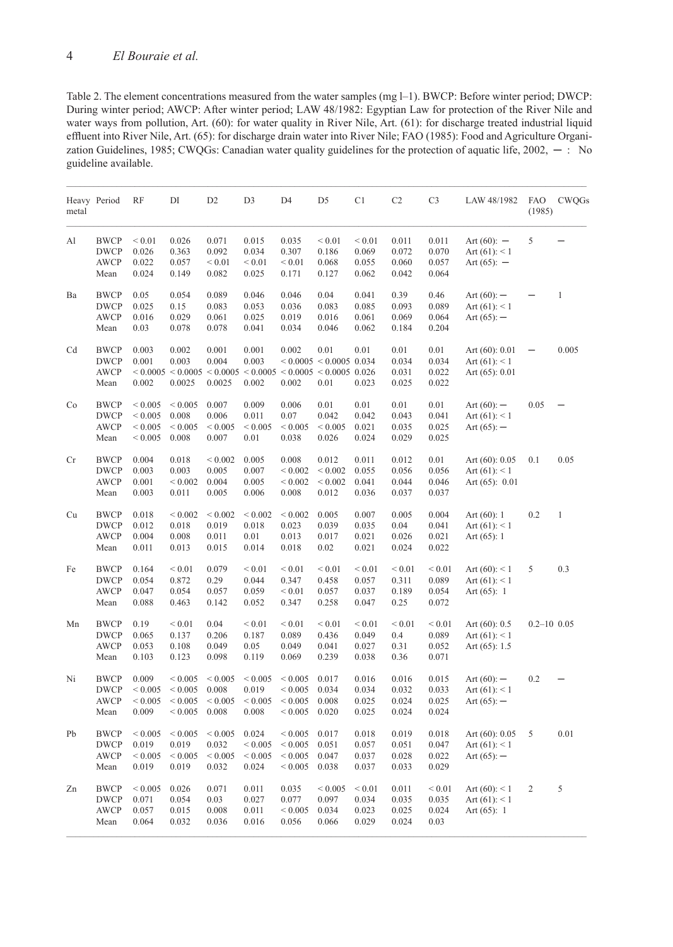Table 2. The element concentrations measured from the water samples (mg l–1). BWCP: Before winter period; DWCP: During winter period; AWCP: After winter period; LAW 48/1982: Egyptian Law for protection of the River Nile and water ways from pollution, Art. (60): for water quality in River Nile, Art. (61): for discharge treated industrial liquid effluent into River Nile, Art. (65): for discharge drain water into River Nile; FAO (1985): Food and Agriculture Organization Guidelines, 1985; CWQGs: Canadian water quality guidelines for the protection of aquatic life, 2002, ─ : No guideline available.

| metal | Heavy Period                                      | RF                                                       | DI                                                                                          | D <sub>2</sub>                               | D <sub>3</sub>                               | D <sub>4</sub>                                           | D <sub>5</sub>                               | C <sub>1</sub>                         | C <sub>2</sub>                        | C <sub>3</sub>                        | LAW 48/1982                                             | <b>FAO</b><br>(1985) | <b>CWQGs</b> |
|-------|---------------------------------------------------|----------------------------------------------------------|---------------------------------------------------------------------------------------------|----------------------------------------------|----------------------------------------------|----------------------------------------------------------|----------------------------------------------|----------------------------------------|---------------------------------------|---------------------------------------|---------------------------------------------------------|----------------------|--------------|
| Al    | <b>BWCP</b><br><b>DWCP</b><br><b>AWCP</b><br>Mean | ${}< 0.01$<br>0.026<br>0.022<br>0.024                    | 0.026<br>0.363<br>0.057<br>0.149                                                            | 0.071<br>0.092<br>${}_{0.01}$<br>0.082       | 0.015<br>0.034<br>${}_{0.01}$<br>0.025       | 0.035<br>0.307<br>${}< 0.01$<br>0.171                    | ${}< 0.01$<br>0.186<br>0.068<br>0.127        | ${}< 0.01$<br>0.069<br>0.055<br>0.062  | 0.011<br>0.072<br>0.060<br>0.042      | 0.011<br>0.070<br>0.057<br>0.064      | Art $(60)$ : -<br>Art $(61): 1$<br>Art $(65)$ : $-$     | 5                    |              |
| Ba    | <b>BWCP</b><br><b>DWCP</b><br><b>AWCP</b><br>Mean | 0.05<br>0.025<br>0.016<br>0.03                           | 0.054<br>0.15<br>0.029<br>0.078                                                             | 0.089<br>0.083<br>0.061<br>0.078             | 0.046<br>0.053<br>0.025<br>0.041             | 0.046<br>0.036<br>0.019<br>0.034                         | 0.04<br>0.083<br>0.016<br>0.046              | 0.041<br>0.085<br>0.061<br>0.062       | 0.39<br>0.093<br>0.069<br>0.184       | 0.46<br>0.089<br>0.064<br>0.204       | Art $(60)$ : -<br>Art $(61): 1$<br>Art $(65)$ : -       |                      | $\mathbf{1}$ |
| Cd    | <b>BWCP</b><br><b>DWCP</b><br><b>AWCP</b><br>Mean | 0.003<br>0.001<br>0.002                                  | 0.002<br>0.003<br>$< 0.0005 < 0.0005 < 0.0005 < 0.0005 < 0.0005 < 0.0005 < 0.026$<br>0.0025 | 0.001<br>0.004<br>0.0025                     | 0.001<br>0.003<br>0.002                      | 0.002<br>0.002                                           | 0.01<br>$< 0.0005 < 0.0005$ 0.034<br>0.01    | 0.01<br>0.023                          | 0.01<br>0.034<br>0.031<br>0.025       | 0.01<br>0.034<br>0.022<br>0.022       | Art $(60)$ : 0.01<br>Art $(61): 1$<br>Art $(65)$ : 0.01 |                      | 0.005        |
| Co    | <b>BWCP</b><br><b>DWCP</b><br><b>AWCP</b><br>Mean | ${}< 0.005$<br>${}< 0.005$<br>${}< 0.005$<br>${}< 0.005$ | ${}< 0.005$<br>0.008<br>${}< 0.005$<br>0.008                                                | 0.007<br>0.006<br>${}< 0.005$<br>0.007       | 0.009<br>0.011<br>${}< 0.005$<br>0.01        | 0.006<br>0.07<br>${}< 0.005$<br>0.038                    | 0.01<br>0.042<br>${}< 0.005$<br>0.026        | 0.01<br>0.042<br>0.021<br>0.024        | 0.01<br>0.043<br>0.035<br>0.029       | 0.01<br>0.041<br>0.025<br>0.025       | Art $(60)$ : $-$<br>Art $(61): 1$<br>Art $(65)$ : -     | 0.05                 |              |
| Cr    | <b>BWCP</b><br><b>DWCP</b><br><b>AWCP</b><br>Mean | 0.004<br>0.003<br>0.001<br>0.003                         | 0.018<br>0.003<br>${}< 0.002$<br>0.011                                                      | ${}< 0.002$<br>0.005<br>0.004<br>0.005       | 0.005<br>0.007<br>0.005<br>0.006             | 0.008<br>${}< 0.002$<br>${}< 0.002$<br>0.008             | 0.012<br>${}< 0.002$<br>${}< 0.002$<br>0.012 | 0.011<br>0.055<br>0.041<br>0.036       | 0.012<br>0.056<br>0.044<br>0.037      | 0.01<br>0.056<br>0.046<br>0.037       | Art $(60)$ : 0.05<br>Art $(61): 1$<br>Art $(65)$ : 0.01 | 0.1                  | 0.05         |
| Cu    | <b>BWCP</b><br><b>DWCP</b><br><b>AWCP</b><br>Mean | 0.018<br>0.012<br>0.004<br>0.011                         | ${}< 0.002$<br>0.018<br>0.008<br>0.013                                                      | ${}< 0.002$<br>0.019<br>0.011<br>0.015       | ${}< 0.002$<br>0.018<br>0.01<br>0.014        | ${}< 0.002$<br>0.023<br>0.013<br>0.018                   | 0.005<br>0.039<br>0.017<br>0.02              | 0.007<br>0.035<br>0.021<br>0.021       | 0.005<br>0.04<br>0.026<br>0.024       | 0.004<br>0.041<br>0.021<br>0.022      | Art $(60)$ : 1<br>Art $(61): 1$<br>Art $(65)$ : 1       | 0.2                  | 1            |
| Fe    | <b>BWCP</b><br><b>DWCP</b><br>AWCP<br>Mean        | 0.164<br>0.054<br>0.047<br>0.088                         | ${}_{0.01}$<br>0.872<br>0.054<br>0.463                                                      | 0.079<br>0.29<br>0.057<br>0.142              | ${}_{0.01}$<br>0.044<br>0.059<br>0.052       | ${}< 0.01$<br>0.347<br>${}< 0.01$<br>0.347               | ${}_{0.01}$<br>0.458<br>0.057<br>0.258       | ${}_{0.01}$<br>0.057<br>0.037<br>0.047 | ${}_{0.01}$<br>0.311<br>0.189<br>0.25 | ${}< 0.01$<br>0.089<br>0.054<br>0.072 | Art $(60): 1$<br>Art $(61): 1$<br>Art $(65)$ : 1        | 5                    | 0.3          |
| Mn    | <b>BWCP</b><br><b>DWCP</b><br><b>AWCP</b><br>Mean | 0.19<br>0.065<br>0.053<br>0.103                          | ${}< 0.01$<br>0.137<br>0.108<br>0.123                                                       | 0.04<br>0.206<br>0.049<br>0.098              | ${}< 0.01$<br>0.187<br>0.05<br>0.119         | ${}< 0.01$<br>0.089<br>0.049<br>0.069                    | ${}< 0.01$<br>0.436<br>0.041<br>0.239        | ${}< 0.01$<br>0.049<br>0.027<br>0.038  | ${}< 0.01$<br>0.4<br>0.31<br>0.36     | ${}< 0.01$<br>0.089<br>0.052<br>0.071 | Art $(60)$ : 0.5<br>Art $(61): 1$<br>Art $(65)$ : 1.5   | $0.2 - 10$ $0.05$    |              |
| Ni    | <b>BWCP</b><br><b>DWCP</b><br><b>AWCP</b><br>Mean | 0.009<br>${}< 0.005$<br>${}< 0.005$<br>0.009             | < 0.005<br>${}< 0.005$<br>${}< 0.005$<br>${}< 0.005$                                        | ${}< 0.005$<br>0.008<br>${}< 0.005$<br>0.008 | ${}< 0.005$<br>0.019<br>${}< 0.005$<br>0.008 | ${}< 0.005$<br>${}< 0.005$<br>${}< 0.005$<br>${}< 0.005$ | 0.017<br>0.034<br>0.008<br>0.020             | 0.016<br>0.034<br>0.025<br>0.025       | 0.016<br>0.032<br>0.024<br>0.024      | 0.015<br>0.033<br>0.025<br>0.024      | Art $(60)$ : -<br>Art $(61): 1$<br>Art $(65)$ : -       | 0.2                  |              |
| Pb    | <b>BWCP</b><br><b>DWCP</b><br><b>AWCP</b><br>Mean | ${}< 0.005$<br>0.019<br>${}< 0.005$<br>0.019             | ${}< 0.005$<br>0.019<br>${}_{0.005}$<br>0.019                                               | ${}< 0.005$<br>0.032<br>${}< 0.005$<br>0.032 | 0.024<br>${}< 0.005$<br>${}< 0.005$<br>0.024 | ${}< 0.005$<br>${}< 0.005$<br>${}< 0.005$<br>${}< 0.005$ | 0.017<br>0.051<br>0.047<br>0.038             | 0.018<br>0.057<br>0.037<br>0.037       | 0.019<br>0.051<br>0.028<br>0.033      | 0.018<br>0.047<br>0.022<br>0.029      | Art $(60)$ : 0.05<br>Art $(61): 1$<br>Art $(65)$ : $-$  | 5                    | 0.01         |
| Zn    | <b>BWCP</b><br><b>DWCP</b><br><b>AWCP</b><br>Mean | ${}< 0.005$<br>0.071<br>0.057<br>0.064                   | 0.026<br>0.054<br>0.015<br>0.032                                                            | 0.071<br>0.03<br>0.008<br>0.036              | 0.011<br>0.027<br>0.011<br>0.016             | 0.035<br>0.077<br>${}< 0.005$<br>0.056                   | ${}< 0.005$<br>0.097<br>0.034<br>0.066       | ${}< 0.01$<br>0.034<br>0.023<br>0.029  | 0.011<br>0.035<br>0.025<br>0.024      | ${}_{0.01}$<br>0.035<br>0.024<br>0.03 | Art $(60): 1$<br>Art $(61): 1$<br>Art $(65)$ : 1        | 2                    | 5            |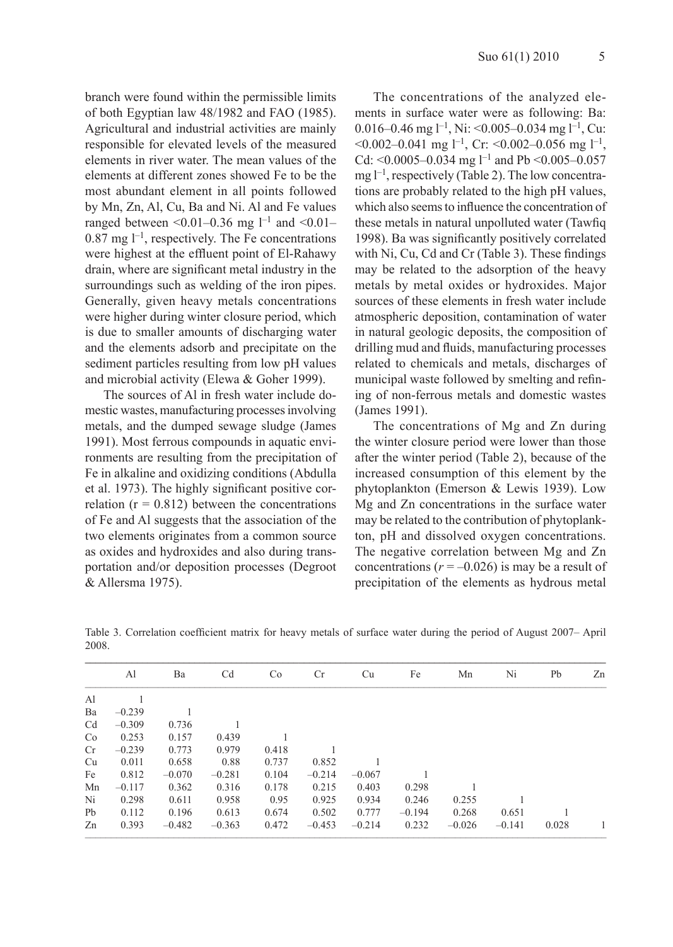branch were found within the permissible limits of both Egyptian law 48/1982 and FAO (1985). Agricultural and industrial activities are mainly responsible for elevated levels of the measured elements in river water. The mean values of the elements at different zones showed Fe to be the most abundant element in all points followed by Mn, Zn, Al, Cu, Ba and Ni. Al and Fe values ranged between <0.01–0.36 mg  $l^{-1}$  and <0.01–  $0.87$  mg  $l^{-1}$ , respectively. The Fe concentrations were highest at the effluent point of El-Rahawy drain, where are significant metal industry in the surroundings such as welding of the iron pipes. Generally, given heavy metals concentrations were higher during winter closure period, which is due to smaller amounts of discharging water and the elements adsorb and precipitate on the sediment particles resulting from low pH values and microbial activity (Elewa & Goher 1999).

The sources of Al in fresh water include domestic wastes, manufacturing processes involving metals, and the dumped sewage sludge (James 1991). Most ferrous compounds in aquatic environments are resulting from the precipitation of Fe in alkaline and oxidizing conditions (Abdulla et al. 1973). The highly significant positive correlation ( $r = 0.812$ ) between the concentrations of Fe and Al suggests that the association of the two elements originates from a common source as oxides and hydroxides and also during transportation and/or deposition processes (Degroot & Allersma 1975).

The concentrations of the analyzed elements in surface water were as following: Ba: 0.016–0.46 mg  $l^{-1}$ , Ni: <0.005–0.034 mg  $l^{-1}$ , Cu:  $<$ 0.002–0.041 mg l<sup>-1</sup>, Cr:  $<$ 0.002–0.056 mg l<sup>-1</sup>, Cd: <0.0005-0.034 mg l<sup>-1</sup> and Pb <0.005-0.057 mg  $l^{-1}$ , respectively (Table 2). The low concentrations are probably related to the high pH values, which also seems to influence the concentration of these metals in natural unpolluted water (Tawfiq 1998). Ba was significantly positively correlated with Ni, Cu, Cd and Cr (Table 3). These findings may be related to the adsorption of the heavy metals by metal oxides or hydroxides. Major sources of these elements in fresh water include atmospheric deposition, contamination of water in natural geologic deposits, the composition of drilling mud and fluids, manufacturing processes related to chemicals and metals, discharges of municipal waste followed by smelting and refining of non-ferrous metals and domestic wastes (James 1991).

The concentrations of Mg and Zn during the winter closure period were lower than those after the winter period (Table 2), because of the increased consumption of this element by the phytoplankton (Emerson & Lewis 1939). Low Mg and Zn concentrations in the surface water may be related to the contribution of phytoplankton, pH and dissolved oxygen concentrations. The negative correlation between Mg and Zn concentrations  $(r = -0.026)$  is may be a result of precipitation of the elements as hydrous metal

|     | Al       | Ba       | Cd       | C <sub>o</sub> | Cr       | Cu       | Fe       | Mn       | Ni       | Pb    | Zn |
|-----|----------|----------|----------|----------------|----------|----------|----------|----------|----------|-------|----|
| Al  |          |          |          |                |          |          |          |          |          |       |    |
| Ba  | $-0.239$ |          |          |                |          |          |          |          |          |       |    |
| Cd  | $-0.309$ | 0.736    |          |                |          |          |          |          |          |       |    |
| Co  | 0.253    | 0.157    | 0.439    |                |          |          |          |          |          |       |    |
| Cr. | $-0.239$ | 0.773    | 0.979    | 0.418          |          |          |          |          |          |       |    |
| Cu  | 0.011    | 0.658    | 0.88     | 0.737          | 0.852    |          |          |          |          |       |    |
| Fe  | 0.812    | $-0.070$ | $-0.281$ | 0.104          | $-0.214$ | $-0.067$ |          |          |          |       |    |
| Mn  | $-0.117$ | 0.362    | 0.316    | 0.178          | 0.215    | 0.403    | 0.298    |          |          |       |    |
| Ni  | 0.298    | 0.611    | 0.958    | 0.95           | 0.925    | 0.934    | 0.246    | 0.255    |          |       |    |
| Pb  | 0.112    | 0.196    | 0.613    | 0.674          | 0.502    | 0.777    | $-0.194$ | 0.268    | 0.651    |       |    |
| Zn  | 0.393    | $-0.482$ | $-0.363$ | 0.472          | $-0.453$ | $-0.214$ | 0.232    | $-0.026$ | $-0.141$ | 0.028 |    |

Table 3. Correlation coefficient matrix for heavy metals of surface water during the period of August 2007– April 2008. **––––––––––––––––––––––––––––––––––––––––––––––––––––––––––––––––––––––––––––––––––––––––––––––––––––**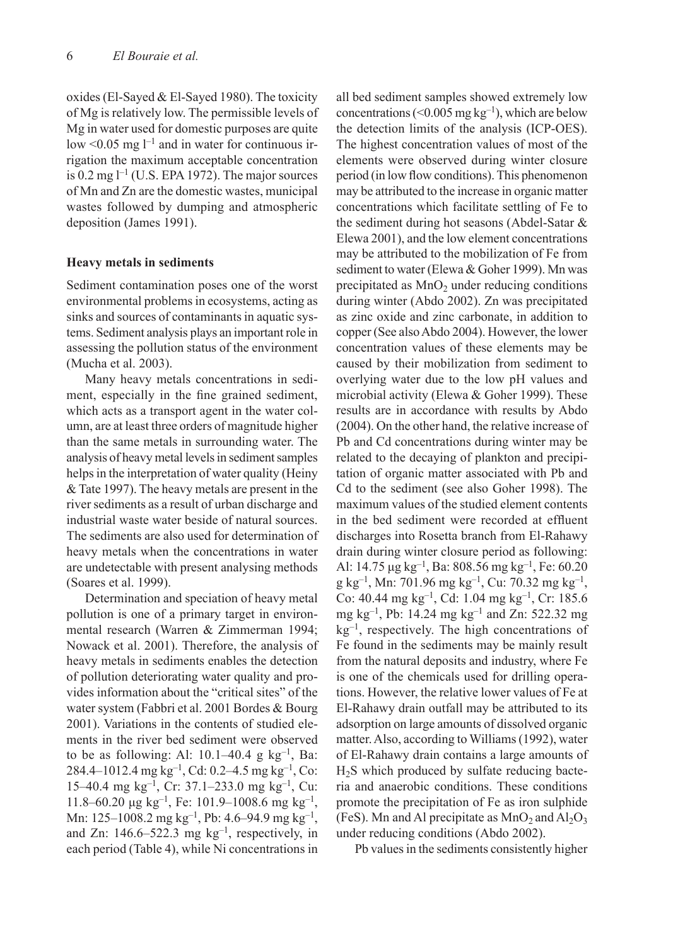oxides (El-Sayed & El-Sayed 1980). The toxicity of Mg is relatively low. The permissible levels of Mg in water used for domestic purposes are quite low <0.05 mg  $l^{-1}$  and in water for continuous irrigation the maximum acceptable concentration is  $0.2$  mg  $l^{-1}$  (U.S. EPA 1972). The major sources of Mn and Zn are the domestic wastes, municipal wastes followed by dumping and atmospheric deposition (James 1991).

#### **Heavy metals in sediments**

Sediment contamination poses one of the worst environmental problems in ecosystems, acting as sinks and sources of contaminants in aquatic systems. Sediment analysis plays an important role in assessing the pollution status of the environment (Mucha et al. 2003).

Many heavy metals concentrations in sediment, especially in the fine grained sediment, which acts as a transport agent in the water column, are at least three orders of magnitude higher than the same metals in surrounding water. The analysis of heavy metal levels in sediment samples helps in the interpretation of water quality (Heiny & Tate 1997). The heavy metals are present in the river sediments as a result of urban discharge and industrial waste water beside of natural sources. The sediments are also used for determination of heavy metals when the concentrations in water are undetectable with present analysing methods (Soares et al. 1999).

Determination and speciation of heavy metal pollution is one of a primary target in environmental research (Warren & Zimmerman 1994; Nowack et al. 2001). Therefore, the analysis of heavy metals in sediments enables the detection of pollution deteriorating water quality and provides information about the "critical sites" of the water system (Fabbri et al. 2001 Bordes & Bourg 2001). Variations in the contents of studied elements in the river bed sediment were observed to be as following: Al:  $10.1-40.4$  g kg<sup>-1</sup>, Ba: 284.4–1012.4 mg kg–1, Cd: 0.2–4.5 mg kg–1, Co: 15–40.4 mg kg–1, Cr: 37.1–233.0 mg kg–1, Cu: 11.8–60.20 μg kg<sup>-1</sup>, Fe: 101.9–1008.6 mg kg<sup>-1</sup>, Mn: 125–1008.2 mg kg<sup>-1</sup>, Pb: 4.6–94.9 mg kg<sup>-1</sup>, and Zn: 146.6–522.3 mg kg–1, respectively, in each period (Table 4), while Ni concentrations in

all bed sediment samples showed extremely low concentrations (< $0.005$  mg kg<sup>-1</sup>), which are below the detection limits of the analysis (ICP-OES). The highest concentration values of most of the elements were observed during winter closure period (in low flow conditions). This phenomenon may be attributed to the increase in organic matter concentrations which facilitate settling of Fe to the sediment during hot seasons (Abdel-Satar & Elewa 2001), and the low element concentrations may be attributed to the mobilization of Fe from sediment to water (Elewa & Goher 1999). Mn was precipitated as  $MnO<sub>2</sub>$  under reducing conditions during winter (Abdo 2002). Zn was precipitated as zinc oxide and zinc carbonate, in addition to copper (See also Abdo 2004). However, the lower concentration values of these elements may be caused by their mobilization from sediment to overlying water due to the low pH values and microbial activity (Elewa & Goher 1999). These results are in accordance with results by Abdo (2004). On the other hand, the relative increase of Pb and Cd concentrations during winter may be related to the decaying of plankton and precipitation of organic matter associated with Pb and Cd to the sediment (see also Goher 1998). The maximum values of the studied element contents in the bed sediment were recorded at effluent discharges into Rosetta branch from El-Rahawy drain during winter closure period as following: Al: 14.75  $\mu$ g kg<sup>-1</sup>, Ba: 808.56 mg kg<sup>-1</sup>, Fe: 60.20 g kg–1, Mn: 701.96 mg kg–1, Cu: 70.32 mg kg–1, Co: 40.44 mg kg–1, Cd: 1.04 mg kg–1, Cr: 185.6 mg kg–1, Pb: 14.24 mg kg–1 and Zn: 522.32 mg  $kg^{-1}$ , respectively. The high concentrations of Fe found in the sediments may be mainly result from the natural deposits and industry, where Fe is one of the chemicals used for drilling operations. However, the relative lower values of Fe at El-Rahawy drain outfall may be attributed to its adsorption on large amounts of dissolved organic matter. Also, according to Williams (1992), water of El-Rahawy drain contains a large amounts of  $H<sub>2</sub>S$  which produced by sulfate reducing bacteria and anaerobic conditions. These conditions promote the precipitation of Fe as iron sulphide (FeS). Mn and Al precipitate as  $MnO<sub>2</sub>$  and  $Al<sub>2</sub>O<sub>3</sub>$ under reducing conditions (Abdo 2002).

Pb values in the sediments consistently higher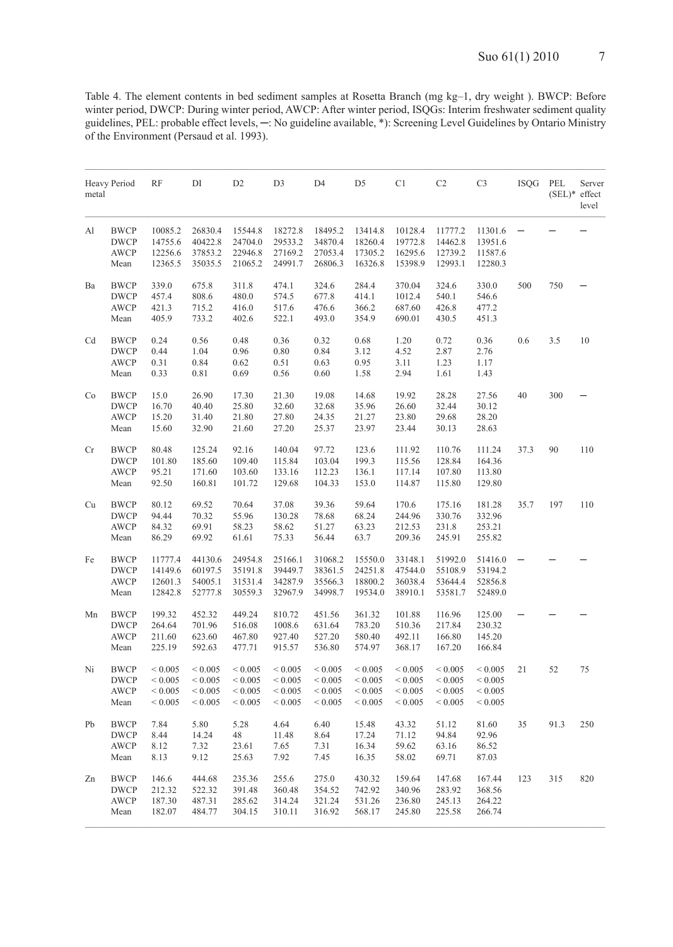Table 4. The element contents in bed sediment samples at Rosetta Branch (mg kg–1, dry weight ). BWCP: Before winter period, DWCP: During winter period, AWCP: After winter period, ISQGs: Interim freshwater sediment quality guidelines, PEL: probable effect levels, ─: No guideline available, \*): Screening Level Guidelines by Ontario Ministry of the Environment (Persaud et al. 1993).

| metal | Heavy Period                                      | RF                                                       | DI                                                   | D <sub>2</sub>                                           | D <sub>3</sub>                                           | D <sub>4</sub>                                            | D <sub>5</sub>                                           | C <sub>1</sub>                                           | C <sub>2</sub>                                           | C <sub>3</sub>                                            | <b>ISQG</b> | PEL<br>$(SEL)*$ effect | Server<br>level |
|-------|---------------------------------------------------|----------------------------------------------------------|------------------------------------------------------|----------------------------------------------------------|----------------------------------------------------------|-----------------------------------------------------------|----------------------------------------------------------|----------------------------------------------------------|----------------------------------------------------------|-----------------------------------------------------------|-------------|------------------------|-----------------|
| Al    | <b>BWCP</b><br><b>DWCP</b><br><b>AWCP</b><br>Mean | 10085.2<br>14755.6<br>12256.6<br>12365.5                 | 26830.4<br>40422.8<br>37853.2<br>35035.5             | 15544.8<br>24704.0<br>22946.8<br>21065.2                 | 18272.8<br>29533.2<br>27169.2<br>24991.7                 | 18495.2<br>34870.4<br>27053.4<br>26806.3                  | 13414.8<br>18260.4<br>17305.2<br>16326.8                 | 10128.4<br>19772.8<br>16295.6<br>15398.9                 | 11777.2<br>14462.8<br>12739.2<br>12993.1                 | 11301.6<br>13951.6<br>11587.6<br>12280.3                  |             |                        |                 |
| Ba    | <b>BWCP</b><br><b>DWCP</b><br><b>AWCP</b><br>Mean | 339.0<br>457.4<br>421.3<br>405.9                         | 675.8<br>808.6<br>715.2<br>733.2                     | 311.8<br>480.0<br>416.0<br>402.6                         | 474.1<br>574.5<br>517.6<br>522.1                         | 324.6<br>677.8<br>476.6<br>493.0                          | 284.4<br>414.1<br>366.2<br>354.9                         | 370.04<br>1012.4<br>687.60<br>690.01                     | 324.6<br>540.1<br>426.8<br>430.5                         | 330.0<br>546.6<br>477.2<br>451.3                          | 500         | 750                    |                 |
| Cd    | <b>BWCP</b><br><b>DWCP</b><br><b>AWCP</b><br>Mean | 0.24<br>0.44<br>0.31<br>0.33                             | 0.56<br>1.04<br>0.84<br>0.81                         | 0.48<br>0.96<br>0.62<br>0.69                             | 0.36<br>0.80<br>0.51<br>0.56                             | 0.32<br>0.84<br>0.63<br>0.60                              | 0.68<br>3.12<br>0.95<br>1.58                             | 1.20<br>4.52<br>3.11<br>2.94                             | 0.72<br>2.87<br>1.23<br>1.61                             | 0.36<br>2.76<br>1.17<br>1.43                              | 0.6         | 3.5                    | 10              |
| Co    | <b>BWCP</b><br><b>DWCP</b><br><b>AWCP</b><br>Mean | 15.0<br>16.70<br>15.20<br>15.60                          | 26.90<br>40.40<br>31.40<br>32.90                     | 17.30<br>25.80<br>21.80<br>21.60                         | 21.30<br>32.60<br>27.80<br>27.20                         | 19.08<br>32.68<br>24.35<br>25.37                          | 14.68<br>35.96<br>21.27<br>23.97                         | 19.92<br>26.60<br>23.80<br>23.44                         | 28.28<br>32.44<br>29.68<br>30.13                         | 27.56<br>30.12<br>28.20<br>28.63                          | 40          | 300                    |                 |
| Cr    | <b>BWCP</b><br><b>DWCP</b><br><b>AWCP</b><br>Mean | 80.48<br>101.80<br>95.21<br>92.50                        | 125.24<br>185.60<br>171.60<br>160.81                 | 92.16<br>109.40<br>103.60<br>101.72                      | 140.04<br>115.84<br>133.16<br>129.68                     | 97.72<br>103.04<br>112.23<br>104.33                       | 123.6<br>199.3<br>136.1<br>153.0                         | 111.92<br>115.56<br>117.14<br>114.87                     | 110.76<br>128.84<br>107.80<br>115.80                     | 111.24<br>164.36<br>113.80<br>129.80                      | 37.3        | 90                     | 110             |
| Cu    | <b>BWCP</b><br><b>DWCP</b><br><b>AWCP</b><br>Mean | 80.12<br>94.44<br>84.32<br>86.29                         | 69.52<br>70.32<br>69.91<br>69.92                     | 70.64<br>55.96<br>58.23<br>61.61                         | 37.08<br>130.28<br>58.62<br>75.33                        | 39.36<br>78.68<br>51.27<br>56.44                          | 59.64<br>68.24<br>63.23<br>63.7                          | 170.6<br>244.96<br>212.53<br>209.36                      | 175.16<br>330.76<br>231.8<br>245.91                      | 181.28<br>332.96<br>253.21<br>255.82                      | 35.7        | 197                    | 110             |
| Fe    | <b>BWCP</b><br><b>DWCP</b><br><b>AWCP</b><br>Mean | 11777.4<br>14149.6<br>12601.3<br>12842.8                 | 44130.6<br>60197.5<br>54005.1<br>52777.8             | 24954.8<br>35191.8<br>31531.4<br>30559.3                 | 25166.1<br>39449.7<br>34287.9<br>32967.9                 | 31068.2<br>38361.5<br>35566.3<br>34998.7                  | 15550.0<br>24251.8<br>18800.2<br>19534.0                 | 33148.1<br>47544.0<br>36038.4<br>38910.1                 | 51992.0<br>55108.9<br>53644.4<br>53581.7                 | 51416.0<br>53194.2<br>52856.8<br>52489.0                  |             |                        |                 |
| Mn    | <b>BWCP</b><br><b>DWCP</b><br><b>AWCP</b><br>Mean | 199.32<br>264.64<br>211.60<br>225.19                     | 452.32<br>701.96<br>623.60<br>592.63                 | 449.24<br>516.08<br>467.80<br>477.71                     | 810.72<br>1008.6<br>927.40<br>915.57                     | 451.56<br>631.64<br>527.20<br>536.80                      | 361.32<br>783.20<br>580.40<br>574.97                     | 101.88<br>510.36<br>492.11<br>368.17                     | 116.96<br>217.84<br>166.80<br>167.20                     | 125.00<br>230.32<br>145.20<br>166.84                      |             |                        |                 |
| Ni    | <b>BWCP</b><br><b>DWCP</b><br><b>AWCP</b><br>Mean | ${}< 0.005$<br>${}< 0.005$<br>${}< 0.005$<br>${}< 0.005$ | ${}< 0.005$<br>${}< 0.005$<br>< 0.005<br>${}< 0.005$ | ${}< 0.005$<br>${}< 0.005$<br>${}< 0.005$<br>${}< 0.005$ | ${}< 0.005$<br>${}< 0.005$<br>${}< 0.005$<br>${}< 0.005$ | ${}< 0.005$<br>${}< 0.005$<br>${}< 0.005$<br>${}_{0.005}$ | ${}< 0.005$<br>${}< 0.005$<br>${}< 0.005$<br>${}< 0.005$ | ${}< 0.005$<br>${}< 0.005$<br>${}< 0.005$<br>${}< 0.005$ | ${}< 0.005$<br>${}< 0.005$<br>${}< 0.005$<br>${}< 0.005$ | ${}< 0.005$<br>${}< 0.005$<br>${}< 0.005$<br>${}_{0.005}$ | 21          | 52                     | 75              |
| Pb    | <b>BWCP</b><br><b>DWCP</b><br><b>AWCP</b><br>Mean | 7.84<br>8.44<br>8.12<br>8.13                             | 5.80<br>14.24<br>7.32<br>9.12                        | 5.28<br>48<br>23.61<br>25.63                             | 4.64<br>11.48<br>7.65<br>7.92                            | 6.40<br>8.64<br>7.31<br>7.45                              | 15.48<br>17.24<br>16.34<br>16.35                         | 43.32<br>71.12<br>59.62<br>58.02                         | 51.12<br>94.84<br>63.16<br>69.71                         | 81.60<br>92.96<br>86.52<br>87.03                          | 35          | 91.3                   | 250             |
| Zn    | <b>BWCP</b><br><b>DWCP</b><br>AWCP<br>Mean        | 146.6<br>212.32<br>187.30<br>182.07                      | 444.68<br>522.32<br>487.31<br>484.77                 | 235.36<br>391.48<br>285.62<br>304.15                     | 255.6<br>360.48<br>314.24<br>310.11                      | 275.0<br>354.52<br>321.24<br>316.92                       | 430.32<br>742.92<br>531.26<br>568.17                     | 159.64<br>340.96<br>236.80<br>245.80                     | 147.68<br>283.92<br>245.13<br>225.58                     | 167.44<br>368.56<br>264.22<br>266.74                      | 123         | 315                    | 820             |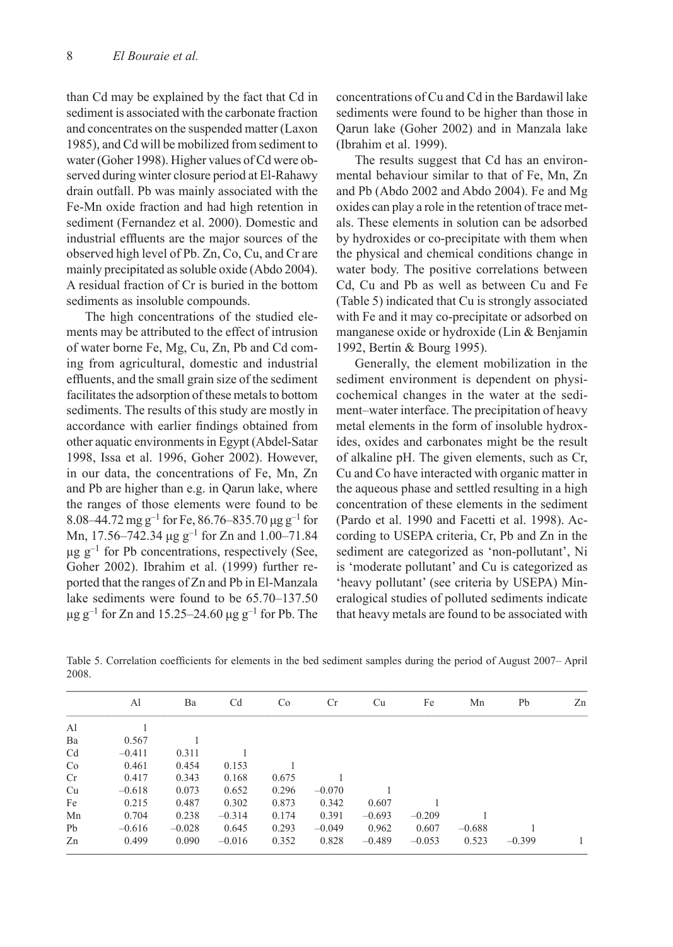than Cd may be explained by the fact that Cd in sediment is associated with the carbonate fraction and concentrates on the suspended matter (Laxon 1985), and Cd will be mobilized from sediment to water (Goher 1998). Higher values of Cd were observed during winter closure period at El-Rahawy drain outfall. Pb was mainly associated with the Fe-Mn oxide fraction and had high retention in sediment (Fernandez et al. 2000). Domestic and industrial effluents are the major sources of the observed high level of Pb. Zn, Co, Cu, and Cr are mainly precipitated as soluble oxide (Abdo 2004). A residual fraction of Cr is buried in the bottom sediments as insoluble compounds.

The high concentrations of the studied elements may be attributed to the effect of intrusion of water borne Fe, Mg, Cu, Zn, Pb and Cd coming from agricultural, domestic and industrial effluents, and the small grain size of the sediment facilitates the adsorption of these metals to bottom sediments. The results of this study are mostly in accordance with earlier findings obtained from other aquatic environments in Egypt (Abdel-Satar 1998, Issa et al. 1996, Goher 2002). However, in our data, the concentrations of Fe, Mn, Zn and Pb are higher than e.g. in Qarun lake, where the ranges of those elements were found to be 8.08–44.72 mg g<sup>-1</sup> for Fe, 86.76–835.70  $\mu$ g g<sup>-1</sup> for Mn, 17.56–742.34  $\mu$ g g<sup>-1</sup> for Zn and 1.00–71.84  $\mu$ g g<sup>-1</sup> for Pb concentrations, respectively (See, Goher 2002). Ibrahim et al. (1999) further reported that the ranges of Zn and Pb in El-Manzala lake sediments were found to be 65.70–137.50 μg g<sup>-1</sup> for Zn and 15.25–24.60 μg g<sup>-1</sup> for Pb. The concentrations of Cu and Cd in the Bardawil lake sediments were found to be higher than those in Qarun lake (Goher 2002) and in Manzala lake (Ibrahim et al. 1999).

The results suggest that Cd has an environmental behaviour similar to that of Fe, Mn, Zn and Pb (Abdo 2002 and Abdo 2004). Fe and Mg oxides can play a role in the retention of trace metals. These elements in solution can be adsorbed by hydroxides or co-precipitate with them when the physical and chemical conditions change in water body. The positive correlations between Cd, Cu and Pb as well as between Cu and Fe (Table 5) indicated that Cu is strongly associated with Fe and it may co-precipitate or adsorbed on manganese oxide or hydroxide (Lin & Benjamin 1992, Bertin & Bourg 1995).

Generally, the element mobilization in the sediment environment is dependent on physicochemical changes in the water at the sediment–water interface. The precipitation of heavy metal elements in the form of insoluble hydroxides, oxides and carbonates might be the result of alkaline pH. The given elements, such as Cr, Cu and Co have interacted with organic matter in the aqueous phase and settled resulting in a high concentration of these elements in the sediment (Pardo et al. 1990 and Facetti et al. 1998). According to USEPA criteria, Cr, Pb and Zn in the sediment are categorized as 'non-pollutant', Ni is 'moderate pollutant' and Cu is categorized as 'heavy pollutant' (see criteria by USEPA) Mineralogical studies of polluted sediments indicate that heavy metals are found to be associated with

Table 5. Correlation coefficients for elements in the bed sediment samples during the period of August 2007– April 2008.

|                | Al       | Ba       | Cd       | Co    | Cr       | Cu       | Fe       | Mn       | Pb       | Zn |
|----------------|----------|----------|----------|-------|----------|----------|----------|----------|----------|----|
| Al             |          |          |          |       |          |          |          |          |          |    |
| Ba             | 0.567    |          |          |       |          |          |          |          |          |    |
| C <sub>d</sub> | $-0.411$ | 0.311    |          |       |          |          |          |          |          |    |
| Co             | 0.461    | 0.454    | 0.153    |       |          |          |          |          |          |    |
| Cr             | 0.417    | 0.343    | 0.168    | 0.675 |          |          |          |          |          |    |
| Cu             | $-0.618$ | 0.073    | 0.652    | 0.296 | $-0.070$ |          |          |          |          |    |
| Fe             | 0.215    | 0.487    | 0.302    | 0.873 | 0.342    | 0.607    |          |          |          |    |
| Mn             | 0.704    | 0.238    | $-0.314$ | 0.174 | 0.391    | $-0.693$ | $-0.209$ |          |          |    |
| Pb             | $-0.616$ | $-0.028$ | 0.645    | 0.293 | $-0.049$ | 0.962    | 0.607    | $-0.688$ |          |    |
| Zn             | 0.499    | 0.090    | $-0.016$ | 0.352 | 0.828    | $-0.489$ | $-0.053$ | 0.523    | $-0.399$ |    |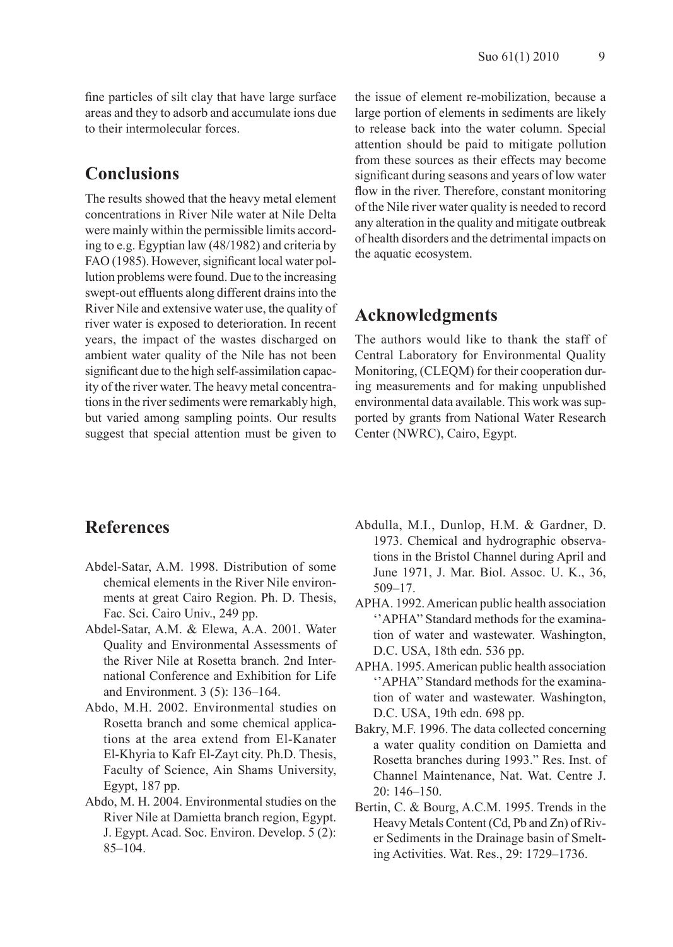fine particles of silt clay that have large surface areas and they to adsorb and accumulate ions due to their intermolecular forces.

### **Conclusions**

The results showed that the heavy metal element concentrations in River Nile water at Nile Delta were mainly within the permissible limits according to e.g. Egyptian law (48/1982) and criteria by FAO (1985). However, significant local water pollution problems were found. Due to the increasing swept-out effluents along different drains into the River Nile and extensive water use, the quality of river water is exposed to deterioration. In recent years, the impact of the wastes discharged on ambient water quality of the Nile has not been significant due to the high self-assimilation capacity of the river water. The heavy metal concentrations in the river sediments were remarkably high, but varied among sampling points. Our results suggest that special attention must be given to the issue of element re-mobilization, because a large portion of elements in sediments are likely to release back into the water column. Special attention should be paid to mitigate pollution from these sources as their effects may become significant during seasons and years of low water flow in the river. Therefore, constant monitoring of the Nile river water quality is needed to record any alteration in the quality and mitigate outbreak of health disorders and the detrimental impacts on the aquatic ecosystem.

### **Acknowledgments**

The authors would like to thank the staff of Central Laboratory for Environmental Quality Monitoring, (CLEQM) for their cooperation during measurements and for making unpublished environmental data available. This work was supported by grants from National Water Research Center (NWRC), Cairo, Egypt.

### **References**

- Abdel-Satar, A.M. 1998. Distribution of some chemical elements in the River Nile environments at great Cairo Region. Ph. D. Thesis, Fac. Sci. Cairo Univ., 249 pp.
- Abdel-Satar, A.M. & Elewa, A.A. 2001. Water Quality and Environmental Assessments of the River Nile at Rosetta branch. 2nd International Conference and Exhibition for Life and Environment. 3 (5): 136–164.
- Abdo, M.H. 2002. Environmental studies on Rosetta branch and some chemical applications at the area extend from El-Kanater El-Khyria to Kafr El-Zayt city. Ph.D. Thesis, Faculty of Science, Ain Shams University, Egypt, 187 pp.
- Abdo, M. H. 2004. Environmental studies on the River Nile at Damietta branch region, Egypt. J. Egypt. Acad. Soc. Environ. Develop. 5 (2): 85–104.
- Abdulla, M.I., Dunlop, H.M. & Gardner, D. 1973. Chemical and hydrographic observations in the Bristol Channel during April and June 1971, J. Mar. Biol. Assoc. U. K., 36, 509–17.
- APHA. 1992. American public health association ''APHA'' Standard methods for the examination of water and wastewater. Washington, D.C. USA, 18th edn. 536 pp.
- APHA. 1995. American public health association ''APHA'' Standard methods for the examination of water and wastewater. Washington, D.C. USA, 19th edn. 698 pp.
- Bakry, M.F. 1996. The data collected concerning a water quality condition on Damietta and Rosetta branches during 1993." Res. Inst. of Channel Maintenance, Nat. Wat. Centre J. 20: 146–150.
- Bertin, C. & Bourg, A.C.M. 1995. Trends in the Heavy Metals Content (Cd, Pb and Zn) of River Sediments in the Drainage basin of Smelting Activities. Wat. Res., 29: 1729–1736.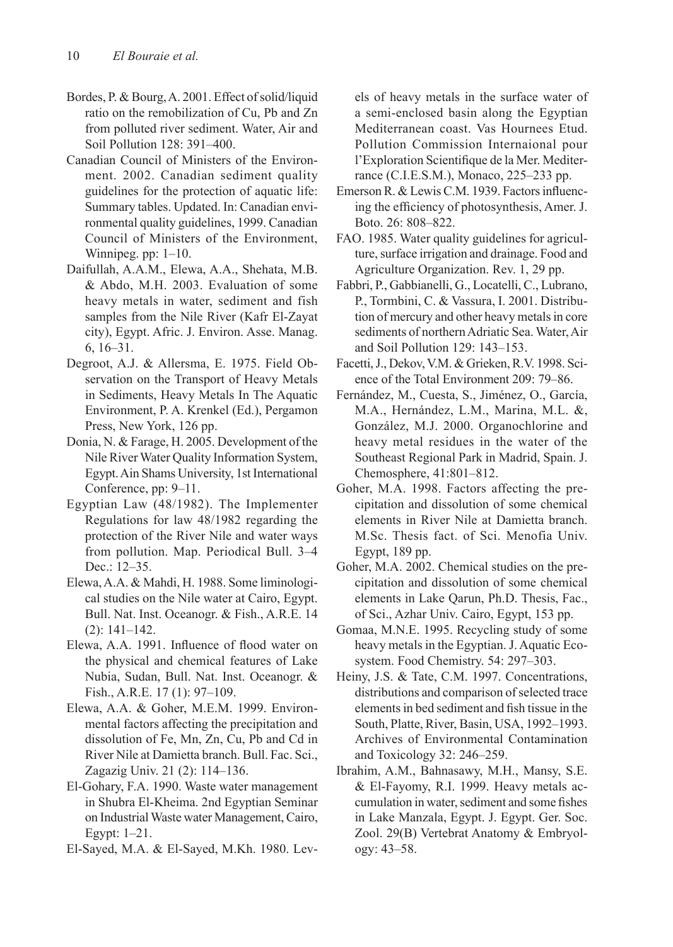- Bordes, P. & Bourg, A. 2001. Effect of solid/liquid ratio on the remobilization of Cu, Pb and Zn from polluted river sediment. Water, Air and Soil Pollution 128: 391–400.
- Canadian Council of Ministers of the Environment. 2002. Canadian sediment quality guidelines for the protection of aquatic life: Summary tables. Updated. In: Canadian environmental quality guidelines, 1999. Canadian Council of Ministers of the Environment, Winnipeg. pp:  $1-10$ .
- Daifullah, A.A.M., Elewa, A.A., Shehata, M.B. & Abdo, M.H. 2003. Evaluation of some heavy metals in water, sediment and fish samples from the Nile River (Kafr El-Zayat city), Egypt. Afric. J. Environ. Asse. Manag. 6, 16–31.
- Degroot, A.J. & Allersma, E. 1975. Field Observation on the Transport of Heavy Metals in Sediments, Heavy Metals In The Aquatic Environment, P. A. Krenkel (Ed.), Pergamon Press, New York, 126 pp.
- Donia, N. & Farage, H. 2005. Development of the Nile River Water Quality Information System, Egypt. Ain Shams University, 1st International Conference, pp: 9–11.
- Egyptian Law (48/1982). The Implementer Regulations for law 48/1982 regarding the protection of the River Nile and water ways from pollution. Map. Periodical Bull. 3–4 Dec.: 12–35.
- Elewa, A.A. & Mahdi, H. 1988. Some liminological studies on the Nile water at Cairo, Egypt. Bull. Nat. Inst. Oceanogr. & Fish., A.R.E. 14 (2): 141–142.
- Elewa, A.A. 1991. Influence of flood water on the physical and chemical features of Lake Nubia, Sudan, Bull. Nat. Inst. Oceanogr. & Fish., A.R.E. 17 (1): 97–109.
- Elewa, A.A. & Goher, M.E.M. 1999. Environmental factors affecting the precipitation and dissolution of Fe, Mn, Zn, Cu, Pb and Cd in River Nile at Damietta branch. Bull. Fac. Sci., Zagazig Univ. 21 (2): 114–136.
- El-Gohary, F.A. 1990. Waste water management in Shubra El-Kheima. 2nd Egyptian Seminar on Industrial Waste water Management, Cairo, Egypt: 1–21.
- El-Sayed, M.A. & El-Sayed, M.Kh. 1980. Lev-

els of heavy metals in the surface water of a semi-enclosed basin along the Egyptian Mediterranean coast. Vas Hournees Etud. Pollution Commission Internaional pour l'Exploration Scientifique de la Mer. Mediterrance (C.I.E.S.M.), Monaco, 225–233 pp.

- Emerson R. & Lewis C.M. 1939. Factors influencing the efficiency of photosynthesis, Amer. J. Boto. 26: 808–822.
- FAO. 1985. Water quality guidelines for agriculture, surface irrigation and drainage. Food and Agriculture Organization. Rev. 1, 29 pp.
- Fabbri, P., Gabbianelli, G., Locatelli, C., Lubrano, P., Tormbini, C. & Vassura, I. 2001. Distribution of mercury and other heavy metals in core sediments of northern Adriatic Sea. Water, Air and Soil Pollution 129: 143–153.
- Facetti, J., Dekov, V.M. & Grieken, R.V. 1998. Science of the Total Environment 209: 79–86.
- Fernández, M., Cuesta, S., Jiménez, O., García, M.A., Hernández, L.M., Marina, M.L. &, González, M.J. 2000. Organochlorine and heavy metal residues in the water of the Southeast Regional Park in Madrid, Spain. J. Chemosphere, 41:801–812.
- Goher, M.A. 1998. Factors affecting the precipitation and dissolution of some chemical elements in River Nile at Damietta branch. M.Sc. Thesis fact. of Sci. Menofia Univ. Egypt, 189 pp.
- Goher, M.A. 2002. Chemical studies on the precipitation and dissolution of some chemical elements in Lake Qarun, Ph.D. Thesis, Fac., of Sci., Azhar Univ. Cairo, Egypt, 153 pp.
- Gomaa, M.N.E. 1995. Recycling study of some heavy metals in the Egyptian. J. Aquatic Ecosystem. Food Chemistry. 54: 297–303.
- Heiny, J.S. & Tate, C.M. 1997. Concentrations, distributions and comparison of selected trace elements in bed sediment and fish tissue in the South, Platte, River, Basin, USA, 1992–1993. Archives of Environmental Contamination and Toxicology 32: 246–259.
- Ibrahim, A.M., Bahnasawy, M.H., Mansy, S.E. & El-Fayomy, R.I. 1999. Heavy metals accumulation in water, sediment and some fishes in Lake Manzala, Egypt. J. Egypt. Ger. Soc. Zool. 29(B) Vertebrat Anatomy & Embryology: 43–58.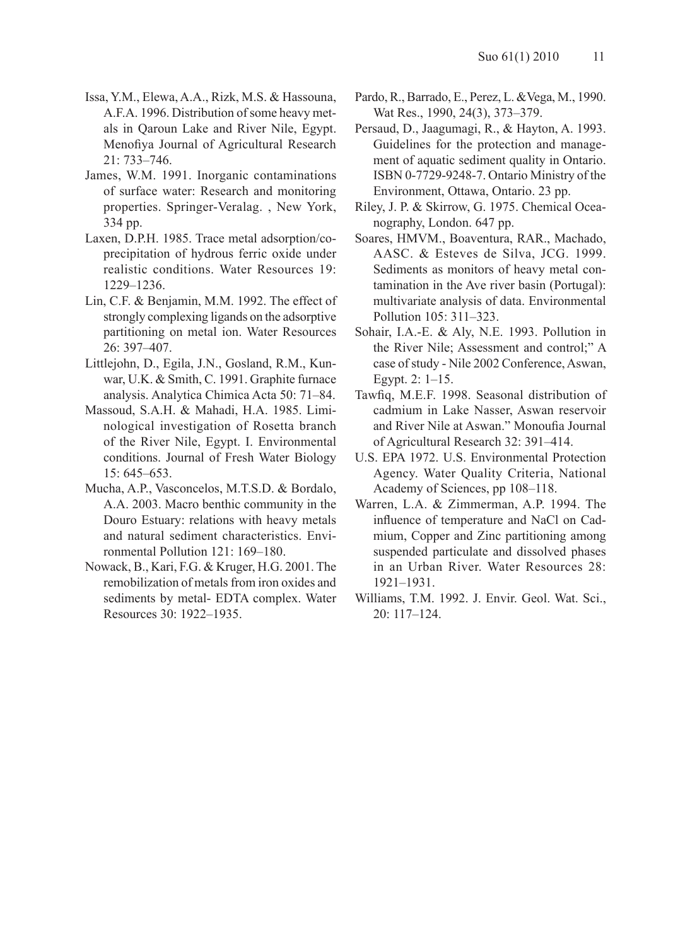- Issa, Y.M., Elewa, A.A., Rizk, M.S. & Hassouna, A.F.A. 1996. Distribution of some heavy metals in Qaroun Lake and River Nile, Egypt. Menofiya Journal of Agricultural Research 21: 733–746.
- James, W.M. 1991. Inorganic contaminations of surface water: Research and monitoring properties. Springer-Veralag. , New York, 334 pp.
- Laxen, D.P.H. 1985. Trace metal adsorption/coprecipitation of hydrous ferric oxide under realistic conditions. Water Resources 19: 1229–1236.
- Lin, C.F. & Benjamin, M.M. 1992. The effect of strongly complexing ligands on the adsorptive partitioning on metal ion. Water Resources 26: 397–407.
- Littlejohn, D., Egila, J.N., Gosland, R.M., Kunwar, U.K. & Smith, C. 1991. Graphite furnace analysis. Analytica Chimica Acta 50: 71–84.
- Massoud, S.A.H. & Mahadi, H.A. 1985. Liminological investigation of Rosetta branch of the River Nile, Egypt. I. Environmental conditions. Journal of Fresh Water Biology 15: 645–653.
- Mucha, A.P., Vasconcelos, M.T.S.D. & Bordalo, A.A. 2003. Macro benthic community in the Douro Estuary: relations with heavy metals and natural sediment characteristics. Environmental Pollution 121: 169–180.
- Nowack, B., Kari, F.G. & Kruger, H.G. 2001. The remobilization of metals from iron oxides and sediments by metal- EDTA complex. Water Resources 30: 1922–1935.
- Pardo, R., Barrado, E., Perez, L. &Vega, M., 1990. Wat Res., 1990, 24(3), 373–379.
- Persaud, D., Jaagumagi, R., & Hayton, A. 1993. Guidelines for the protection and management of aquatic sediment quality in Ontario. ISBN 0-7729-9248-7. Ontario Ministry of the Environment, Ottawa, Ontario. 23 pp.
- Riley, J. P. & Skirrow, G. 1975. Chemical Oceanography, London. 647 pp.
- Soares, HMVM., Boaventura, RAR., Machado, AASC. & Esteves de Silva, JCG. 1999. Sediments as monitors of heavy metal contamination in the Ave river basin (Portugal): multivariate analysis of data. Environmental Pollution 105: 311–323.
- Sohair, I.A.-E. & Aly, N.E. 1993. Pollution in the River Nile; Assessment and control;" A case of study - Nile 2002 Conference, Aswan, Egypt. 2: 1–15.
- Tawfiq, M.E.F. 1998. Seasonal distribution of cadmium in Lake Nasser, Aswan reservoir and River Nile at Aswan." Monoufia Journal of Agricultural Research 32: 391–414.
- U.S. EPA 1972. U.S. Environmental Protection Agency. Water Quality Criteria, National Academy of Sciences, pp 108–118.
- Warren, L.A. & Zimmerman, A.P. 1994. The influence of temperature and NaCl on Cadmium, Copper and Zinc partitioning among suspended particulate and dissolved phases in an Urban River. Water Resources 28: 1921–1931.
- Williams, T.M. 1992. J. Envir. Geol. Wat. Sci., 20: 117–124.